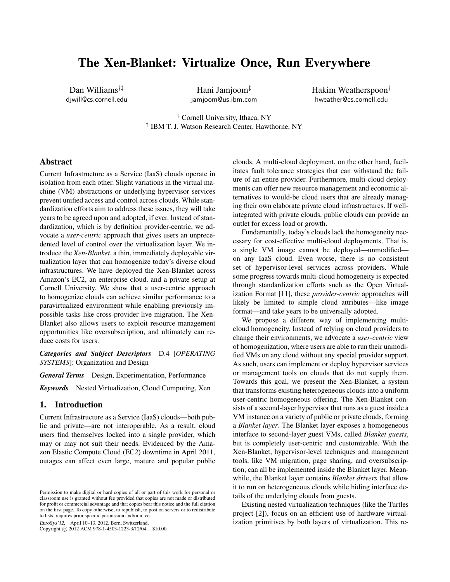# **The Xen-Blanket: Virtualize Once, Run Everywhere**

Dan Williams†‡ djwill@cs.cornell.edu

Hani Jamjoom‡ jamjoom@us.ibm.com Hakim Weatherspoon† hweather@cs.cornell.edu

† Cornell University, Ithaca, NY ‡ IBM T. J. Watson Research Center, Hawthorne, NY

# **Abstract**

Current Infrastructure as a Service (IaaS) clouds operate in isolation from each other. Slight variations in the virtual machine (VM) abstractions or underlying hypervisor services prevent unified access and control across clouds. While standardization efforts aim to address these issues, they will take years to be agreed upon and adopted, if ever. Instead of standardization, which is by definition provider-centric, we advocate a *user-centric* approach that gives users an unprecedented level of control over the virtualization layer. We introduce the *Xen-Blanket*, a thin, immediately deployable virtualization layer that can homogenize today's diverse cloud infrastructures. We have deployed the Xen-Blanket across Amazon's EC2, an enterprise cloud, and a private setup at Cornell University. We show that a user-centric approach to homogenize clouds can achieve similar performance to a paravirtualized environment while enabling previously impossible tasks like cross-provider live migration. The Xen-Blanket also allows users to exploit resource management opportunities like oversubscription, and ultimately can reduce costs for users.

*Categories and Subject Descriptors* D.4 [*OPERATING SYSTEMS*]: Organization and Design

*General Terms* Design, Experimentation, Performance

*Keywords* Nested Virtualization, Cloud Computing, Xen

### **1. Introduction**

Current Infrastructure as a Service (IaaS) clouds—both public and private—are not interoperable. As a result, cloud users find themselves locked into a single provider, which may or may not suit their needs. Evidenced by the Amazon Elastic Compute Cloud (EC2) downtime in April 2011, outages can affect even large, mature and popular public

EuroSys'12, April 10–13, 2012, Bern, Switzerland.

Copyright © 2012 ACM 978-1-4503-1223-3/12/04... \$10.00

clouds. A multi-cloud deployment, on the other hand, facilitates fault tolerance strategies that can withstand the failure of an entire provider. Furthermore, multi-cloud deployments can offer new resource management and economic alternatives to would-be cloud users that are already managing their own elaborate private cloud infrastructures. If wellintegrated with private clouds, public clouds can provide an outlet for excess load or growth.

Fundamentally, today's clouds lack the homogeneity necessary for cost-effective multi-cloud deployments. That is, a single VM image cannot be deployed—unmodified on any IaaS cloud. Even worse, there is no consistent set of hypervisor-level services across providers. While some progress towards multi-cloud homogeneity is expected through standardization efforts such as the Open Virtualization Format [11], these *provider-centric* approaches will likely be limited to simple cloud attributes—like image format—and take years to be universally adopted.

We propose a different way of implementing multicloud homogeneity. Instead of relying on cloud providers to change their environments, we advocate a *user-centric* view of homogenization, where users are able to run their unmodified VMs on any cloud without any special provider support. As such, users can implement or deploy hypervisor services or management tools on clouds that do not supply them. Towards this goal, we present the Xen-Blanket, a system that transforms existing heterogeneous clouds into a uniform user-centric homogeneous offering. The Xen-Blanket consists of a second-layer hypervisor that runs as a guest inside a VM instance on a variety of public or private clouds, forming a *Blanket layer*. The Blanket layer exposes a homogeneous interface to second-layer guest VMs, called *Blanket guests*, but is completely user-centric and customizable. With the Xen-Blanket, hypervisor-level techniques and management tools, like VM migration, page sharing, and oversubscription, can all be implemented inside the Blanket layer. Meanwhile, the Blanket layer contains *Blanket drivers* that allow it to run on heterogeneous clouds while hiding interface details of the underlying clouds from guests.

Existing nested virtualization techniques (like the Turtles project [2]), focus on an efficient use of hardware virtualization primitives by both layers of virtualization. This re-

Permission to make digital or hard copies of all or part of this work for personal or classroom use is granted without fee provided that copies are not made or distributed for profit or commercial advantage and that copies bear this notice and the full citation on the first page. To copy otherwise, to republish, to post on servers or to redistribute to lists, requires prior specific permission and/or a fee.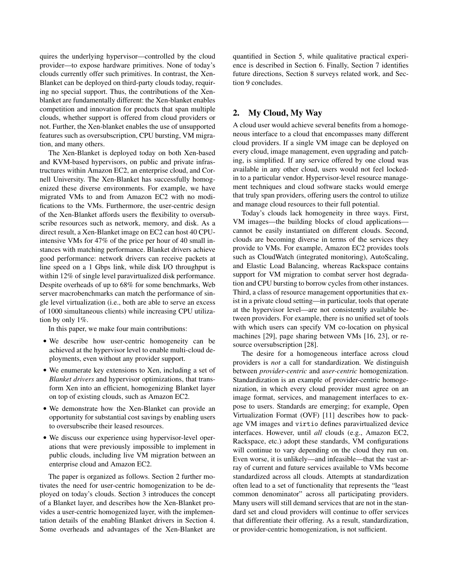quires the underlying hypervisor—controlled by the cloud provider—to expose hardware primitives. None of today's clouds currently offer such primitives. In contrast, the Xen-Blanket can be deployed on third-party clouds today, requiring no special support. Thus, the contributions of the Xenblanket are fundamentally different: the Xen-blanket enables competition and innovation for products that span multiple clouds, whether support is offered from cloud providers or not. Further, the Xen-blanket enables the use of unsupported features such as oversubscription, CPU bursting, VM migration, and many others.

The Xen-Blanket is deployed today on both Xen-based and KVM-based hypervisors, on public and private infrastructures within Amazon EC2, an enterprise cloud, and Cornell University. The Xen-Blanket has successfully homogenized these diverse environments. For example, we have migrated VMs to and from Amazon EC2 with no modifications to the VMs. Furthermore, the user-centric design of the Xen-Blanket affords users the flexibility to oversubscribe resources such as network, memory, and disk. As a direct result, a Xen-Blanket image on EC2 can host 40 CPUintensive VMs for 47% of the price per hour of 40 small instances with matching performance. Blanket drivers achieve good performance: network drivers can receive packets at line speed on a 1 Gbps link, while disk I/O throughput is within 12% of single level paravirtualized disk performance. Despite overheads of up to 68% for some benchmarks, Web server macrobenchmarks can match the performance of single level virtualization (i.e., both are able to serve an excess of 1000 simultaneous clients) while increasing CPU utilization by only 1%.

In this paper, we make four main contributions:

- We describe how user-centric homogeneity can be achieved at the hypervisor level to enable multi-cloud deployments, even without any provider support.
- We enumerate key extensions to Xen, including a set of *Blanket drivers* and hypervisor optimizations, that transform Xen into an efficient, homogenizing Blanket layer on top of existing clouds, such as Amazon EC2.
- We demonstrate how the Xen-Blanket can provide an opportunity for substantial cost savings by enabling users to oversubscribe their leased resources.
- We discuss our experience using hypervisor-level operations that were previously impossible to implement in public clouds, including live VM migration between an enterprise cloud and Amazon EC2.

The paper is organized as follows. Section 2 further motivates the need for user-centric homogenization to be deployed on today's clouds. Section 3 introduces the concept of a Blanket layer, and describes how the Xen-Blanket provides a user-centric homogenized layer, with the implementation details of the enabling Blanket drivers in Section 4. Some overheads and advantages of the Xen-Blanket are

quantified in Section 5, while qualitative practical experience is described in Section 6. Finally, Section 7 identifies future directions, Section 8 surveys related work, and Section 9 concludes.

# **2. My Cloud, My Way**

A cloud user would achieve several benefits from a homogeneous interface to a cloud that encompasses many different cloud providers. If a single VM image can be deployed on every cloud, image management, even upgrading and patching, is simplified. If any service offered by one cloud was available in any other cloud, users would not feel lockedin to a particular vendor. Hypervisor-level resource management techniques and cloud software stacks would emerge that truly span providers, offering users the control to utilize and manage cloud resources to their full potential.

Today's clouds lack homogeneity in three ways. First, VM images—the building blocks of cloud applications cannot be easily instantiated on different clouds. Second, clouds are becoming diverse in terms of the services they provide to VMs. For example, Amazon EC2 provides tools such as CloudWatch (integrated monitoring), AutoScaling, and Elastic Load Balancing, whereas Rackspace contains support for VM migration to combat server host degradation and CPU bursting to borrow cycles from other instances. Third, a class of resource management opportunities that exist in a private cloud setting—in particular, tools that operate at the hypervisor level—are not consistently available between providers. For example, there is no unified set of tools with which users can specify VM co-location on physical machines [29], page sharing between VMs [16, 23], or resource oversubscription [28].

The desire for a homogeneous interface across cloud providers is *not* a call for standardization. We distinguish between *provider-centric* and *user-centric* homogenization. Standardization is an example of provider-centric homogenization, in which every cloud provider must agree on an image format, services, and management interfaces to expose to users. Standards are emerging; for example, Open Virtualization Format (OVF) [11] describes how to package VM images and virtio defines paravirtualized device interfaces. However, until *all* clouds (e.g., Amazon EC2, Rackspace, etc.) adopt these standards, VM configurations will continue to vary depending on the cloud they run on. Even worse, it is unlikely—and infeasible—that the vast array of current and future services available to VMs become standardized across all clouds. Attempts at standardization often lead to a set of functionality that represents the "least common denominator" across all participating providers. Many users will still demand services that are not in the standard set and cloud providers will continue to offer services that differentiate their offering. As a result, standardization, or provider-centric homogenization, is not sufficient.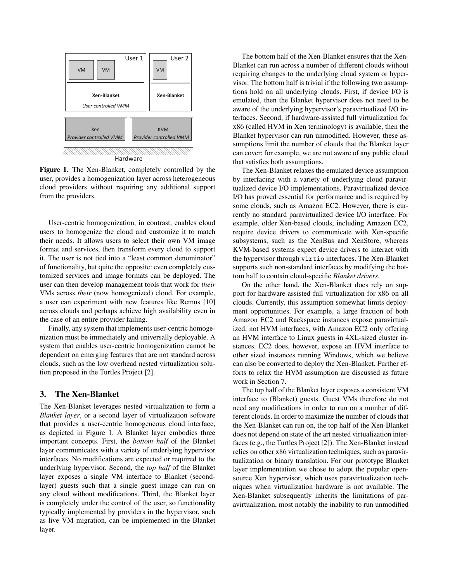

**Figure 1.** The Xen-Blanket, completely controlled by the user, provides a homogenization layer across heterogeneous cloud providers without requiring any additional support from the providers.

User-centric homogenization, in contrast, enables cloud users to homogenize the cloud and customize it to match their needs. It allows users to select their own VM image format and services, then transform every cloud to support it. The user is not tied into a "least common denominator" of functionality, but quite the opposite: even completely customized services and image formats can be deployed. The user can then develop management tools that work for *their* VMs across *their* (now homogenized) cloud. For example, a user can experiment with new features like Remus [10] across clouds and perhaps achieve high availability even in the case of an entire provider failing.

Finally, any system that implements user-centric homogenization must be immediately and universally deployable. A system that enables user-centric homogenization cannot be dependent on emerging features that are not standard across clouds, such as the low overhead nested virtualization solution proposed in the Turtles Project [2].

## **3. The Xen-Blanket**

The Xen-Blanket leverages nested virtualization to form a *Blanket layer*, or a second layer of virtualization software that provides a user-centric homogeneous cloud interface, as depicted in Figure 1. A Blanket layer embodies three important concepts. First, the *bottom half* of the Blanket layer communicates with a variety of underlying hypervisor interfaces. No modifications are expected or required to the underlying hypervisor. Second, the *top half* of the Blanket layer exposes a single VM interface to Blanket (secondlayer) guests such that a single guest image can run on any cloud without modifications. Third, the Blanket layer is completely under the control of the user, so functionality typically implemented by providers in the hypervisor, such as live VM migration, can be implemented in the Blanket layer.

The bottom half of the Xen-Blanket ensures that the Xen-Blanket can run across a number of different clouds without requiring changes to the underlying cloud system or hypervisor. The bottom half is trivial if the following two assumptions hold on all underlying clouds. First, if device I/O is emulated, then the Blanket hypervisor does not need to be aware of the underlying hypervisor's paravirtualized I/O interfaces. Second, if hardware-assisted full virtualization for x86 (called HVM in Xen terminology) is available, then the Blanket hypervisor can run unmodified. However, these assumptions limit the number of clouds that the Blanket layer can cover; for example, we are not aware of any public cloud that satisfies both assumptions.

The Xen-Blanket relaxes the emulated device assumption by interfacing with a variety of underlying cloud paravirtualized device I/O implementations. Paravirtualized device I/O has proved essential for performance and is required by some clouds, such as Amazon EC2. However, there is currently no standard paravirtualized device I/O interface. For example, older Xen-based clouds, including Amazon EC2, require device drivers to communicate with Xen-specific subsystems, such as the XenBus and XenStore, whereas KVM-based systems expect device drivers to interact with the hypervisor through virtio interfaces. The Xen-Blanket supports such non-standard interfaces by modifying the bottom half to contain cloud-specific *Blanket drivers*.

On the other hand, the Xen-Blanket does rely on support for hardware-assisted full virtualization for x86 on all clouds. Currently, this assumption somewhat limits deployment opportunities. For example, a large fraction of both Amazon EC2 and Rackspace instances expose paravirtualized, not HVM interfaces, with Amazon EC2 only offering an HVM interface to Linux guests in 4XL-sized cluster instances. EC2 does, however, expose an HVM interface to other sized instances running Windows, which we believe can also be converted to deploy the Xen-Blanket. Further efforts to relax the HVM assumption are discussed as future work in Section 7.

The top half of the Blanket layer exposes a consistent VM interface to (Blanket) guests. Guest VMs therefore do not need any modifications in order to run on a number of different clouds. In order to maximize the number of clouds that the Xen-Blanket can run on, the top half of the Xen-Blanket does not depend on state of the art nested virtualization interfaces (e.g., the Turtles Project [2]). The Xen-Blanket instead relies on other x86 virtualization techniques, such as paravirtualization or binary translation. For our prototype Blanket layer implementation we chose to adopt the popular opensource Xen hypervisor, which uses paravirtualization techniques when virtualization hardware is not available. The Xen-Blanket subsequently inherits the limitations of paravirtualization, most notably the inability to run unmodified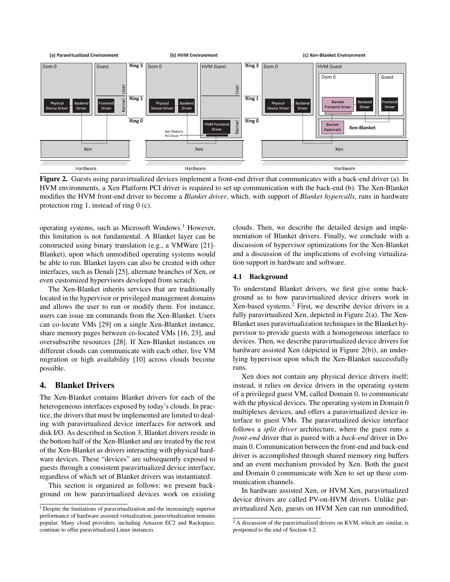

**Figure 2.** Guests using paravirtualized devices implement a front-end driver that communicates with a back-end driver (a). In HVM environments, a Xen Platform PCI driver is required to set up communication with the back-end (b). The Xen-Blanket modifies the HVM front-end driver to become a *Blanket driver*, which, with support of *Blanket hypercalls*, runs in hardware protection ring 1, instead of ring 0 (c).

operating systems, such as Microsoft Windows.<sup>1</sup> However, this limitation is not fundamental. A Blanket layer can be constructed using binary translation (e.g., a VMWare [21]- Blanket), upon which unmodified operating systems would be able to run. Blanket layers can also be created with other interfaces, such as Denali [25], alternate branches of Xen, or even customized hypervisors developed from scratch.

The Xen-Blanket inherits services that are traditionally located in the hypervisor or privileged management domains and allows the user to run or modify them. For instance, users can issue xm commands from the Xen-Blanket. Users can co-locate VMs [29] on a single Xen-Blanket instance, share memory pages between co-located VMs [16, 23], and oversubscribe resources [28]. If Xen-Blanket instances on different clouds can communicate with each other, live VM migration or high availability [10] across clouds become possible.

# **4. Blanket Drivers**

The Xen-Blanket contains Blanket drivers for each of the heterogeneous interfaces exposed by today's clouds. In practice, the drivers that must be implemented are limited to dealing with paravirtualized device interfaces for network and disk I/O. As described in Section 3, Blanket drivers reside in the bottom half of the Xen-Blanket and are treated by the rest of the Xen-Blanket as drivers interacting with physical hardware devices. These "devices" are subsequently exposed to guests through a consistent paravirtualized device interface, regardless of which set of Blanket drivers was instantiated.

This section is organized as follows: we present background on how paravirtualized devices work on existing clouds. Then, we describe the detailed design and implementation of Blanket drivers. Finally, we conclude with a discussion of hypervisor optimizations for the Xen-Blanket and a discussion of the implications of evolving virtualization support in hardware and software.

#### **4.1 Background**

To understand Blanket drivers, we first give some background as to how paravirtualized device drivers work in Xen-based systems.<sup>2</sup> First, we describe device drivers in a fully paravirtualized Xen, depicted in Figure 2(a). The Xen-Blanket uses paravirtualization techniques in the Blanket hypervisor to provide guests with a homogeneous interface to devices. Then, we describe paravirtualized device drivers for hardware assisted Xen (depicted in Figure 2(b)), an underlying hypervisor upon which the Xen-Blanket successfully runs.

Xen does not contain any physical device drivers itself; instead, it relies on device drivers in the operating system of a privileged guest VM, called Domain 0, to communicate with the physical devices. The operating system in Domain 0 multiplexes devices, and offers a paravirtualized device interface to guest VMs. The paravirtualized device interface follows a *split driver* architecture, where the guest runs a *front-end* driver that is paired with a *back-end* driver in Domain 0. Communication between the front-end and back-end driver is accomplished through shared memory ring buffers and an event mechanism provided by Xen. Both the guest and Domain 0 communicate with Xen to set up these communication channels.

In hardware assisted Xen, or HVM Xen, paravirtualized device drivers are called PV-on-HVM drivers. Unlike paravirtualized Xen, guests on HVM Xen can run unmodified,

<sup>&</sup>lt;sup>1</sup> Despite the limitations of paravirtualization and the increasingly superior performance of hardware assisted virtualization, paravirtualization remains popular. Many cloud providers, including Amazon EC2 and Rackspace, continue to offer paravirtualized Linux instances.

 $2A$  discussion of the paravirtualized drivers on KVM, which are similar, is postponed to the end of Section 4.2.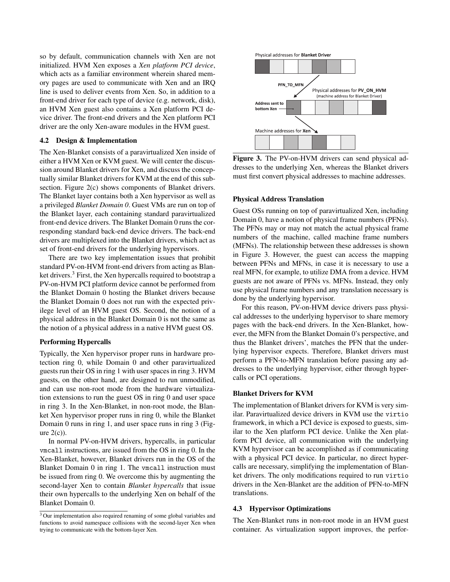so by default, communication channels with Xen are not initialized. HVM Xen exposes a *Xen platform PCI device*, which acts as a familiar environment wherein shared memory pages are used to communicate with Xen and an IRQ line is used to deliver events from Xen. So, in addition to a front-end driver for each type of device (e.g. network, disk), an HVM Xen guest also contains a Xen platform PCI device driver. The front-end drivers and the Xen platform PCI driver are the only Xen-aware modules in the HVM guest.

#### **4.2 Design & Implementation**

The Xen-Blanket consists of a paravirtualized Xen inside of either a HVM Xen or KVM guest. We will center the discussion around Blanket drivers for Xen, and discuss the conceptually similar Blanket drivers for KVM at the end of this subsection. Figure 2(c) shows components of Blanket drivers. The Blanket layer contains both a Xen hypervisor as well as a privileged *Blanket Domain 0*. Guest VMs are run on top of the Blanket layer, each containing standard paravirtualized front-end device drivers. The Blanket Domain 0 runs the corresponding standard back-end device drivers. The back-end drivers are multiplexed into the Blanket drivers, which act as set of front-end drivers for the underlying hypervisors.

There are two key implementation issues that prohibit standard PV-on-HVM front-end drivers from acting as Blanket drivers.<sup>3</sup> First, the Xen hypercalls required to bootstrap a PV-on-HVM PCI platform device cannot be performed from the Blanket Domain 0 hosting the Blanket drivers because the Blanket Domain 0 does not run with the expected privilege level of an HVM guest OS. Second, the notion of a physical address in the Blanket Domain 0 is not the same as the notion of a physical address in a native HVM guest OS.

#### **Performing Hypercalls**

Typically, the Xen hypervisor proper runs in hardware protection ring 0, while Domain 0 and other paravirtualized guests run their OS in ring 1 with user spaces in ring 3. HVM guests, on the other hand, are designed to run unmodified, and can use non-root mode from the hardware virtualization extensions to run the guest OS in ring 0 and user space in ring 3. In the Xen-Blanket, in non-root mode, the Blanket Xen hypervisor proper runs in ring 0, while the Blanket Domain 0 runs in ring 1, and user space runs in ring 3 (Figure  $2(c)$ ).

In normal PV-on-HVM drivers, hypercalls, in particular vmcall instructions, are issued from the OS in ring 0. In the Xen-Blanket, however, Blanket drivers run in the OS of the Blanket Domain 0 in ring 1. The vmcall instruction must be issued from ring 0. We overcome this by augmenting the second-layer Xen to contain *Blanket hypercalls* that issue their own hypercalls to the underlying Xen on behalf of the Blanket Domain 0.



**Figure 3.** The PV-on-HVM drivers can send physical addresses to the underlying Xen, whereas the Blanket drivers must first convert physical addresses to machine addresses.

#### **Physical Address Translation**

Guest OSs running on top of paravirtualized Xen, including Domain 0, have a notion of physical frame numbers (PFNs). The PFNs may or may not match the actual physical frame numbers of the machine, called machine frame numbers (MFNs). The relationship between these addresses is shown in Figure 3. However, the guest can access the mapping between PFNs and MFNs, in case it is necessary to use a real MFN, for example, to utilize DMA from a device. HVM guests are not aware of PFNs vs. MFNs. Instead, they only use physical frame numbers and any translation necessary is done by the underlying hypervisor.

For this reason, PV-on-HVM device drivers pass physical addresses to the underlying hypervisor to share memory pages with the back-end drivers. In the Xen-Blanket, however, the MFN from the Blanket Domain 0's perspective, and thus the Blanket drivers', matches the PFN that the underlying hypervisor expects. Therefore, Blanket drivers must perform a PFN-to-MFN translation before passing any addresses to the underlying hypervisor, either through hypercalls or PCI operations.

#### **Blanket Drivers for KVM**

The implementation of Blanket drivers for KVM is very similar. Paravirtualized device drivers in KVM use the virtio framework, in which a PCI device is exposed to guests, similar to the Xen platform PCI device. Unlike the Xen platform PCI device, all communication with the underlying KVM hypervisor can be accomplished as if communicating with a physical PCI device. In particular, no direct hypercalls are necessary, simplifying the implementation of Blanket drivers. The only modifications required to run virtio drivers in the Xen-Blanket are the addition of PFN-to-MFN translations.

#### **4.3 Hypervisor Optimizations**

The Xen-Blanket runs in non-root mode in an HVM guest container. As virtualization support improves, the perfor-

<sup>&</sup>lt;sup>3</sup> Our implementation also required renaming of some global variables and functions to avoid namespace collisions with the second-layer Xen when trying to communicate with the bottom-layer Xen.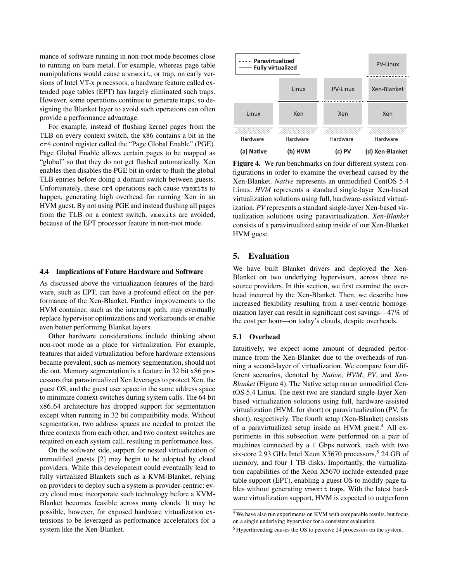mance of software running in non-root mode becomes close to running on bare metal. For example, whereas page table manipulations would cause a vmexit, or trap, on early versions of Intel VT-x processors, a hardware feature called extended page tables (EPT) has largely eliminated such traps. However, some operations continue to generate traps, so designing the Blanket layer to avoid such operations can often provide a performance advantage.

For example, instead of flushing kernel pages from the TLB on every context switch, the x86 contains a bit in the cr4 control register called the "Page Global Enable" (PGE). Page Global Enable allows certain pages to be mapped as "global" so that they do not get flushed automatically. Xen enables then disables the PGE bit in order to flush the global TLB entries before doing a domain switch between guests. Unfortunately, these cr4 operations each cause vmexits to happen, generating high overhead for running Xen in an HVM guest. By not using PGE and instead flushing all pages from the TLB on a context switch, vmexits are avoided, because of the EPT processor feature in non-root mode.

#### **4.4 Implications of Future Hardware and Software**

As discussed above the virtualization features of the hardware, such as EPT, can have a profound effect on the performance of the Xen-Blanket. Further improvements to the HVM container, such as the interrupt path, may eventually replace hypervisor optimizations and workarounds or enable even better performing Blanket layers.

Other hardware considerations include thinking about non-root mode as a place for virtualization. For example, features that aided virtualization before hardware extensions became prevalent, such as memory segmentation, should not die out. Memory segmentation is a feature in 32 bit x86 processors that paravirtualized Xen leverages to protect Xen, the guest OS, and the guest user space in the same address space to minimize context switches during system calls. The 64 bit x86 64 architecture has dropped support for segmentation except when running in 32 bit compatibility mode. Without segmentation, two address spaces are needed to protect the three contexts from each other, and two context switches are required on each system call, resulting in performance loss.

On the software side, support for nested virtualization of unmodified guests [2] may begin to be adopted by cloud providers. While this development could eventually lead to fully virtualized Blankets such as a KVM-Blanket, relying on providers to deploy such a system is provider-centric: every cloud must incorporate such technology before a KVM-Blanket becomes feasible across many clouds. It may be possible, however, for exposed hardware virtualization extensions to be leveraged as performance accelerators for a system like the Xen-Blanket.



**Figure 4.** We run benchmarks on four different system configurations in order to examine the overhead caused by the Xen-Blanket. *Native* represents an unmodified CentOS 5.4 Linux. *HVM* represents a standard single-layer Xen-based virtualization solutions using full, hardware-assisted virtualization. *PV* represents a standard single-layer Xen-based virtualization solutions using paravirtualization. *Xen-Blanket* consists of a paravirtualized setup inside of our Xen-Blanket HVM guest.

### **5. Evaluation**

We have built Blanket drivers and deployed the Xen-Blanket on two underlying hypervisors, across three resource providers. In this section, we first examine the overhead incurred by the Xen-Blanket. Then, we describe how increased flexibility resulting from a user-centric homogenization layer can result in significant cost savings—47% of the cost per hour—on today's clouds, despite overheads.

#### **5.1 Overhead**

Intuitively, we expect some amount of degraded performance from the Xen-Blanket due to the overheads of running a second-layer of virtualization. We compare four different scenarios, denoted by *Native*, *HVM*, *PV*, and *Xen-Blanket* (Figure 4). The Native setup ran an unmodified CentOS 5.4 Linux. The next two are standard single-layer Xenbased virtualization solutions using full, hardware-assisted virtualization (HVM, for short) or paravirtualization (PV, for short), respectively. The fourth setup (Xen-Blanket) consists of a paravirtualized setup inside an HVM guest.<sup>4</sup> All experiments in this subsection were performed on a pair of machines connected by a 1 Gbps network, each with two six-core 2.93 GHz Intel Xeon  $X$ 5670 processors,<sup>5</sup> 24 GB of memory, and four 1 TB disks. Importantly, the virtualization capabilities of the Xeon X5670 include extended page table support (EPT), enabling a guest OS to modify page tables without generating vmexit traps. With the latest hardware virtualization support, HVM is expected to outperform

<sup>&</sup>lt;sup>4</sup> We have also run experiments on KVM with comparable results, but focus on a single underlying hypervisor for a consistent evaluation.

<sup>5</sup> Hyperthreading causes the OS to perceive 24 processors on the system.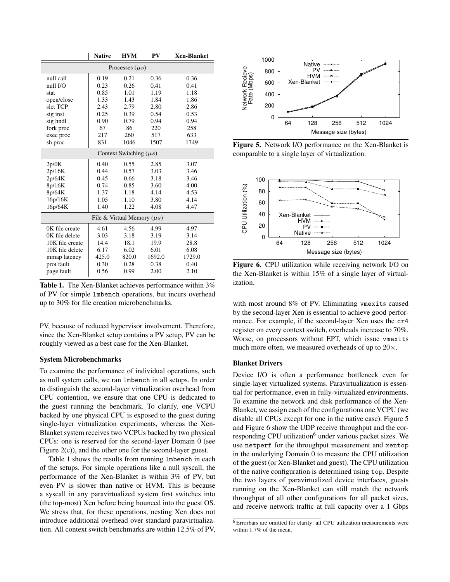|                                 | <b>Native</b> | <b>HVM</b> | PV     | <b>Xen-Blanket</b> |  |  |
|---------------------------------|---------------|------------|--------|--------------------|--|--|
| Processes $(\mu s)$             |               |            |        |                    |  |  |
| null call                       | 0.19          | 0.21       | 0.36   | 0.36               |  |  |
| null I/O                        | 0.23          | 0.26       | 0.41   | 0.41               |  |  |
| stat                            | 0.85          | 1.01       | 1.19   | 1.18               |  |  |
| open/close                      | 1.33          | 1.43       | 1.84   | 1.86               |  |  |
| slct TCP                        | 2.43          | 2.79       | 2.80   | 2.86               |  |  |
| sig inst                        | 0.25          | 0.39       | 0.54   | 0.53               |  |  |
| sig hndl                        | 0.90          | 0.79       | 0.94   | 0.94               |  |  |
| fork proc                       | 67            | 86         | 220    | 258                |  |  |
| exec proc                       | 217           | 260        | 517    | 633                |  |  |
| sh proc                         | 831           | 1046       | 1507   | 1749               |  |  |
| Context Switching $(\mu s)$     |               |            |        |                    |  |  |
| 2p/0K                           | 0.40          | 0.55       | 2.85   | 3.07               |  |  |
| 2p/16K                          | 0.44          | 0.57       | 3.03   | 3.46               |  |  |
| 2p/64K                          | 0.45          | 0.66       | 3.18   | 3.46               |  |  |
| 8p/16K                          | 0.74          | 0.85       | 3.60   | 4.00               |  |  |
| 8p/64K                          | 1.37          | 1.18       | 4.14   | 4.53               |  |  |
| 16p/16K                         | 1.05          | 1.10       | 3.80   | 4.14               |  |  |
| 16p/64K                         | 1.40          | 1.22       | 4.08   | 4.47               |  |  |
| File & Virtual Memory $(\mu s)$ |               |            |        |                    |  |  |
| 0K file create                  | 4.61          | 4.56       | 4.99   | 4.97               |  |  |
| 0K file delete                  | 3.03          | 3.18       | 3.19   | 3.14               |  |  |
| 10K file create                 | 14.4          | 18.1       | 19.9   | 28.8               |  |  |
| 10K file delete                 | 6.17          | 6.02       | 6.01   | 6.08               |  |  |
| mmap latency                    | 425.0         | 820.0      | 1692.0 | 1729.0             |  |  |
| prot fault                      | 0.30          | 0.28       | 0.38   | 0.40               |  |  |
| page fault                      | 0.56          | 0.99       | 2.00   | 2.10               |  |  |

**Table 1.** The Xen-Blanket achieves performance within 3% of PV for simple lmbench operations, but incurs overhead up to 30% for file creation microbenchmarks.

PV, because of reduced hypervisor involvement. Therefore, since the Xen-Blanket setup contains a PV setup, PV can be roughly viewed as a best case for the Xen-Blanket.

#### **System Microbenchmarks**

To examine the performance of individual operations, such as null system calls, we ran lmbench in all setups. In order to distinguish the second-layer virtualization overhead from CPU contention, we ensure that one CPU is dedicated to the guest running the benchmark. To clarify, one VCPU backed by one physical CPU is exposed to the guest during single-layer virtualization experiments, whereas the Xen-Blanket system receives two VCPUs backed by two physical CPUs: one is reserved for the second-layer Domain 0 (see Figure 2(c)), and the other one for the second-layer guest.

Table 1 shows the results from running lmbench in each of the setups. For simple operations like a null syscall, the performance of the Xen-Blanket is within 3% of PV, but even PV is slower than native or HVM. This is because a syscall in any paravirtualized system first switches into (the top-most) Xen before being bounced into the guest OS. We stress that, for these operations, nesting Xen does not introduce additional overhead over standard paravirtualization. All context switch benchmarks are within 12.5% of PV,



**Figure 5.** Network I/O performance on the Xen-Blanket is comparable to a single layer of virtualization.



**Figure 6.** CPU utilization while receiving network I/O on the Xen-Blanket is within 15% of a single layer of virtualization.

with most around 8% of PV. Eliminating vmexits caused by the second-layer Xen is essential to achieve good performance. For example, if the second-layer Xen uses the cr4 register on every context switch, overheads increase to 70%. Worse, on processors without EPT, which issue vmexits much more often, we measured overheads of up to 20×.

# **Blanket Drivers**

Device I/O is often a performance bottleneck even for single-layer virtualized systems. Paravirtualization is essential for performance, even in fully-virtualized environments. To examine the network and disk performance of the Xen-Blanket, we assign each of the configurations one VCPU (we disable all CPUs except for one in the native case). Figure 5 and Figure 6 show the UDP receive throughput and the corresponding CPU utilization<sup>6</sup> under various packet sizes. We use netperf for the throughput measurement and xentop in the underlying Domain 0 to measure the CPU utilization of the guest (or Xen-Blanket and guest). The CPU utilization of the native configuration is determined using top. Despite the two layers of paravirtualized device interfaces, guests running on the Xen-Blanket can still match the network throughput of all other configurations for all packet sizes, and receive network traffic at full capacity over a 1 Gbps

<sup>6</sup> Errorbars are omitted for clarity: all CPU utilization measurements were within 1.7% of the mean.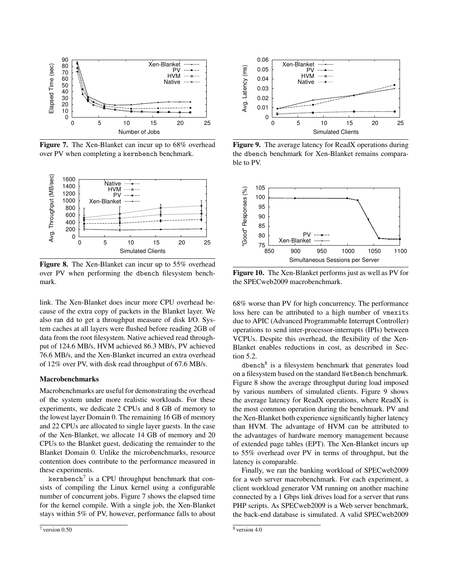

**Figure 7.** The Xen-Blanket can incur up to 68% overhead over PV when completing a kernbench benchmark.



**Figure 8.** The Xen-Blanket can incur up to 55% overhead over PV when performing the dbench filesystem benchmark.

link. The Xen-Blanket does incur more CPU overhead because of the extra copy of packets in the Blanket layer. We also ran dd to get a throughput measure of disk I/O. System caches at all layers were flushed before reading 2GB of data from the root filesystem. Native achieved read throughput of 124.6 MB/s, HVM achieved 86.3 MB/s, PV achieved 76.6 MB/s, and the Xen-Blanket incurred an extra overhead of 12% over PV, with disk read throughput of 67.6 MB/s.

#### **Macrobenchmarks**

Macrobenchmarks are useful for demonstrating the overhead of the system under more realistic workloads. For these experiments, we dedicate 2 CPUs and 8 GB of memory to the lowest layer Domain 0. The remaining 16 GB of memory and 22 CPUs are allocated to single layer guests. In the case of the Xen-Blanket, we allocate 14 GB of memory and 20 CPUs to the Blanket guest, dedicating the remainder to the Blanket Domain 0. Unlike the microbenchmarks, resource contention does contribute to the performance measured in these experiments.

 $\text{kernbench}^7$  is a CPU throughput benchmark that consists of compiling the Linux kernel using a configurable number of concurrent jobs. Figure 7 shows the elapsed time for the kernel compile. With a single job, the Xen-Blanket stays within 5% of PV, however, performance falls to about



**Figure 9.** The average latency for ReadX operations during the dbench benchmark for Xen-Blanket remains comparable to PV.



**Figure 10.** The Xen-Blanket performs just as well as PV for the SPECweb2009 macrobenchmark.

68% worse than PV for high concurrency. The performance loss here can be attributed to a high number of vmexits due to APIC (Advanced Programmable Interrupt Controller) operations to send inter-processor-interrupts (IPIs) between VCPUs. Despite this overhead, the flexibility of the Xen-Blanket enables reductions in cost, as described in Section 5.2.

dbench<sup>8</sup> is a filesystem benchmark that generates load on a filesystem based on the standard NetBench benchmark. Figure 8 show the average throughput during load imposed by various numbers of simulated clients. Figure 9 shows the average latency for ReadX operations, where ReadX is the most common operation during the benchmark. PV and the Xen-Blanket both experience significantly higher latency than HVM. The advantage of HVM can be attributed to the advantages of hardware memory management because of extended page tables (EPT). The Xen-Blanket incurs up to 55% overhead over PV in terms of throughput, but the latency is comparable.

Finally, we ran the banking workload of SPECweb2009 for a web server macrobenchmark. For each experiment, a client workload generator VM running on another machine connected by a 1 Gbps link drives load for a server that runs PHP scripts. As SPECweb2009 is a Web server benchmark, the back-end database is simulated. A valid SPECweb2009

<sup>8</sup> version 4.0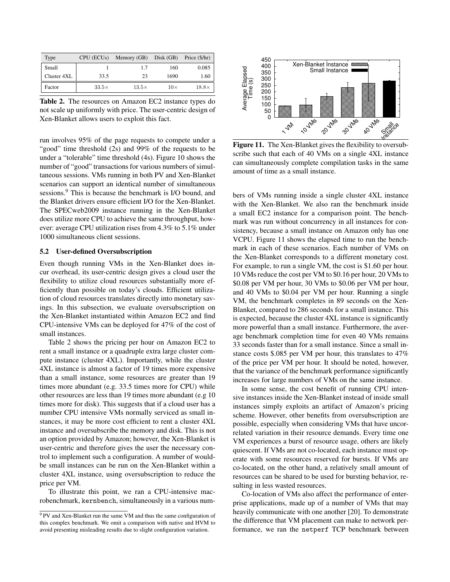| Type        | CPU (ECU <sub>s</sub> ) | Memory $(GB)$ Disk $(GB)$ Price $(\frac{5}{hr})$ |            |              |
|-------------|-------------------------|--------------------------------------------------|------------|--------------|
| Small       |                         | 17                                               | 160        | 0.085        |
| Cluster 4XL | 33.5                    | 23                                               | 1690       | 1.60         |
| Factor      | $33.5\times$            | $13.5\times$                                     | $10\times$ | $18.8\times$ |

**Table 2.** The resources on Amazon EC2 instance types do not scale up uniformly with price. The user-centric design of Xen-Blanket allows users to exploit this fact.

run involves 95% of the page requests to compete under a "good" time threshold (2s) and 99% of the requests to be under a "tolerable" time threshold (4s). Figure 10 shows the number of "good" transactions for various numbers of simultaneous sessions. VMs running in both PV and Xen-Blanket scenarios can support an identical number of simultaneous sessions.<sup>9</sup> This is because the benchmark is I/O bound, and the Blanket drivers ensure efficient I/O for the Xen-Blanket. The SPECweb2009 instance running in the Xen-Blanket does utilize more CPU to achieve the same throughput, however: average CPU utilization rises from 4.3% to 5.1% under 1000 simultaneous client sessions.

#### **5.2 User-defined Oversubscription**

Even though running VMs in the Xen-Blanket does incur overhead, its user-centric design gives a cloud user the flexibility to utilize cloud resources substantially more efficiently than possible on today's clouds. Efficient utilization of cloud resources translates directly into monetary savings. In this subsection, we evaluate oversubscription on the Xen-Blanket instantiated within Amazon EC2 and find CPU-intensive VMs can be deployed for 47% of the cost of small instances.

Table 2 shows the pricing per hour on Amazon EC2 to rent a small instance or a quadruple extra large cluster compute instance (cluster 4XL). Importantly, while the cluster 4XL instance is almost a factor of 19 times more expensive than a small instance, some resources are greater than 19 times more abundant (e.g. 33.5 times more for CPU) while other resources are less than 19 times more abundant (e.g 10 times more for disk). This suggests that if a cloud user has a number CPU intensive VMs normally serviced as small instances, it may be more cost efficient to rent a cluster 4XL instance and oversubscribe the memory and disk. This is not an option provided by Amazon; however, the Xen-Blanket is user-centric and therefore gives the user the necessary control to implement such a configuration. A number of wouldbe small instances can be run on the Xen-Blanket within a cluster 4XL instance, using oversubscription to reduce the price per VM.

To illustrate this point, we ran a CPU-intensive macrobenchmark, kernbench, simultaneously in a various num-



Figure 11. The Xen-Blanket gives the flexibility to oversubscribe such that each of 40 VMs on a single 4XL instance can simultaneously complete compilation tasks in the same amount of time as a small instance.

bers of VMs running inside a single cluster 4XL instance with the Xen-Blanket. We also ran the benchmark inside a small EC2 instance for a comparison point. The benchmark was run without concurrency in all instances for consistency, because a small instance on Amazon only has one VCPU. Figure 11 shows the elapsed time to run the benchmark in each of these scenarios. Each number of VMs on the Xen-Blanket corresponds to a different monetary cost. For example, to run a single VM, the cost is \$1.60 per hour. 10 VMs reduce the cost per VM to \$0.16 per hour, 20 VMs to \$0.08 per VM per hour, 30 VMs to \$0.06 per VM per hour, and 40 VMs to \$0.04 per VM per hour. Running a single VM, the benchmark completes in 89 seconds on the Xen-Blanket, compared to 286 seconds for a small instance. This is expected, because the cluster 4XL instance is significantly more powerful than a small instance. Furthermore, the average benchmark completion time for even 40 VMs remains 33 seconds faster than for a small instance. Since a small instance costs \$.085 per VM per hour, this translates to 47% of the price per VM per hour. It should be noted, however, that the variance of the benchmark performance significantly increases for large numbers of VMs on the same instance.

In some sense, the cost benefit of running CPU intensive instances inside the Xen-Blanket instead of inside small instances simply exploits an artifact of Amazon's pricing scheme. However, other benefits from oversubscription are possible, especially when considering VMs that have uncorrelated variation in their resource demands. Every time one VM experiences a burst of resource usage, others are likely quiescent. If VMs are not co-located, each instance must operate with some resources reserved for bursts. If VMs are co-located, on the other hand, a relatively small amount of resources can be shared to be used for bursting behavior, resulting in less wasted resources.

Co-location of VMs also affect the performance of enterprise applications, made up of a number of VMs that may heavily communicate with one another [20]. To demonstrate the difference that VM placement can make to network performance, we ran the netperf TCP benchmark between

<sup>9</sup> PV and Xen-Blanket run the same VM and thus the same configuration of this complex benchmark. We omit a comparison with native and HVM to avoid presenting misleading results due to slight configuration variation.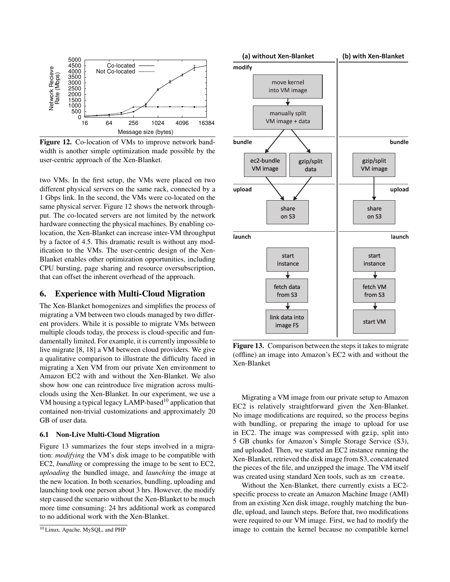

**Figure 12.** Co-location of VMs to improve network bandwidth is another simple optimization made possible by the user-centric approach of the Xen-Blanket.

two VMs. In the first setup, the VMs were placed on two different physical servers on the same rack, connected by a 1 Gbps link. In the second, the VMs were co-located on the same physical server. Figure 12 shows the network throughput. The co-located servers are not limited by the network hardware connecting the physical machines. By enabling colocation, the Xen-Blanket can increase inter-VM throughput by a factor of 4.5. This dramatic result is without any modification to the VMs. The user-centric design of the Xen-Blanket enables other optimization opportunities, including CPU bursting, page sharing and resource oversubscription, that can offset the inherent overhead of the approach.

# **6. Experience with Multi-Cloud Migration**

The Xen-Blanket homogenizes and simplifies the process of migrating a VM between two clouds managed by two different providers. While it is possible to migrate VMs between multiple clouds today, the process is cloud-specific and fundamentally limited. For example, it is currently impossible to live migrate [8, 18] a VM between cloud providers. We give a qualitative comparison to illustrate the difficulty faced in migrating a Xen VM from our private Xen environment to Amazon EC2 with and without the Xen-Blanket. We also show how one can reintroduce live migration across multiclouds using the Xen-Blanket. In our experiment, we use a VM housing a typical legacy LAMP-based<sup>10</sup> application that contained non-trivial customizations and approximately 20 GB of user data.

#### **6.1 Non-Live Multi-Cloud Migration**

Figure 13 summarizes the four steps involved in a migration: *modifying* the VM's disk image to be compatible with EC2, *bundling* or compressing the image to be sent to EC2, *uploading* the bundled image, and *launching* the image at the new location. In both scenarios, bundling, uploading and launching took one person about 3 hrs. However, the modify step caused the scenario without the Xen-Blanket to be much more time consuming: 24 hrs additional work as compared to no additional work with the Xen-Blanket.



**Figure 13.** Comparison between the steps it takes to migrate (offline) an image into Amazon's EC2 with and without the Xen-Blanket

Migrating a VM image from our private setup to Amazon EC2 is relatively straightforward given the Xen-Blanket. No image modifications are required, so the process begins with bundling, or preparing the image to upload for use in EC2. The image was compressed with gzip, split into 5 GB chunks for Amazon's Simple Storage Service (S3), and uploaded. Then, we started an EC2 instance running the Xen-Blanket, retrieved the disk image from S3, concatenated the pieces of the file, and unzipped the image. The VM itself was created using standard Xen tools, such as xm create.

Without the Xen-Blanket, there currently exists a EC2 specific process to create an Amazon Machine Image (AMI) from an existing Xen disk image, roughly matching the bundle, upload, and launch steps. Before that, two modifications were required to our VM image. First, we had to modify the image to contain the kernel because no compatible kernel

<sup>10</sup> Linux, Apache, MySQL, and PHP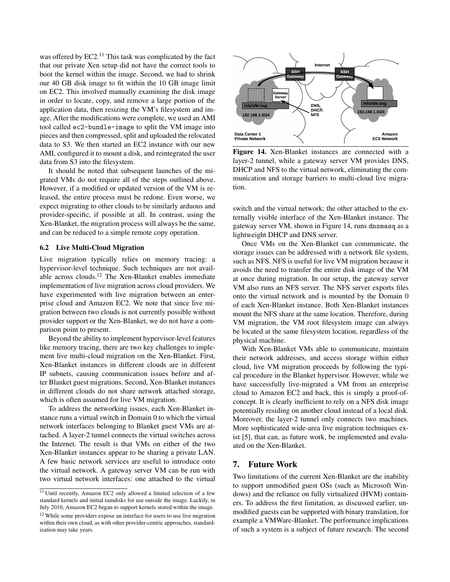was offered by EC2.<sup>11</sup> This task was complicated by the fact that our private Xen setup did not have the correct tools to boot the kernel within the image. Second, we had to shrink our 40 GB disk image to fit within the 10 GB image limit on EC2. This involved manually examining the disk image in order to locate, copy, and remove a large portion of the application data, then resizing the VM's filesystem and image. After the modifications were complete, we used an AMI tool called ec2-bundle-image to split the VM image into pieces and then compressed, split and uploaded the relocated data to S3. We then started an EC2 instance with our new AMI, configured it to mount a disk, and reintegrated the user data from S3 into the filesystem.

It should be noted that subsequent launches of the migrated VMs do not require all of the steps outlined above. However, if a modified or updated version of the VM is released, the entire process must be redone. Even worse, we expect migrating to other clouds to be similarly arduous and provider-specific, if possible at all. In contrast, using the Xen-Blanket, the migration process will always be the same, and can be reduced to a simple remote copy operation.

#### **6.2 Live Multi-Cloud Migration**

Live migration typically relies on memory tracing: a hypervisor-level technique. Such techniques are not available across clouds.<sup>12</sup> The Xen-Blanket enables immediate implementation of live migration across cloud providers. We have experimented with live migration between an enterprise cloud and Amazon EC2. We note that since live migration between two clouds is not currently possible without provider support or the Xen-Blanket, we do not have a comparison point to present.

Beyond the ability to implement hypervisor-level features like memory tracing, there are two key challenges to implement live multi-cloud migration on the Xen-Blanket. First, Xen-Blanket instances in different clouds are in different IP subnets, causing communication issues before and after Blanket guest migrations. Second, Xen-Blanket instances in different clouds do not share network attached storage, which is often assumed for live VM migration.

To address the networking issues, each Xen-Blanket instance runs a virtual switch in Domain 0 to which the virtual network interfaces belonging to Blanket guest VMs are attached. A layer-2 tunnel connects the virtual switches across the Internet. The result is that VMs on either of the two Xen-Blanket instances appear to be sharing a private LAN. A few basic network services are useful to introduce onto the virtual network. A gateway server VM can be run with two virtual network interfaces: one attached to the virtual



**Figure 14.** Xen-Blanket instances are connected with a layer-2 tunnel, while a gateway server VM provides DNS, DHCP and NFS to the virtual network, eliminating the communication and storage barriers to multi-cloud live migration.

switch and the virtual network; the other attached to the externally visible interface of the Xen-Blanket instance. The gateway server VM, shown in Figure 14, runs dnsmasq as a lightweight DHCP and DNS server.

Once VMs on the Xen-Blanket can communicate, the storage issues can be addressed with a network file system, such as NFS. NFS is useful for live VM migration because it avoids the need to transfer the entire disk image of the VM at once during migration. In our setup, the gateway server VM also runs an NFS server. The NFS server exports files onto the virtual network and is mounted by the Domain 0 of each Xen-Blanket instance. Both Xen-Blanket instances mount the NFS share at the same location. Therefore, during VM migration, the VM root filesystem image can always be located at the same filesystem location, regardless of the physical machine.

With Xen-Blanket VMs able to communicate, maintain their network addresses, and access storage within either cloud, live VM migration proceeds by following the typical procedure in the Blanket hypervisor. However, while we have successfully live-migrated a VM from an enterprise cloud to Amazon EC2 and back, this is simply a proof-ofconcept. It is clearly inefficient to rely on a NFS disk image potentially residing on another cloud instead of a local disk. Moreover, the layer-2 tunnel only connects two machines. More sophisticated wide-area live migration techniques exist [5], that can, as future work, be implemented and evaluated on the Xen-Blanket.

# **7. Future Work**

Two limitations of the current Xen-Blanket are the inability to support unmodified guest OSs (such as Microsoft Windows) and the reliance on fully virtualized (HVM) containers. To address the first limitation, as discussed earlier, unmodified guests can be supported with binary translation, for example a VMWare-Blanket. The performance implications of such a system is a subject of future research. The second

<sup>11</sup> Until recently, Amazon EC2 only allowed a limited selection of a few standard kernels and initial ramdisks for use outside the image. Luckily, in July 2010, Amazon EC2 began to support kernels stored within the image.

<sup>&</sup>lt;sup>12</sup> While some providers expose an interface for users to use live migration within their own cloud, as with other provider-centric approaches, standardization may take years.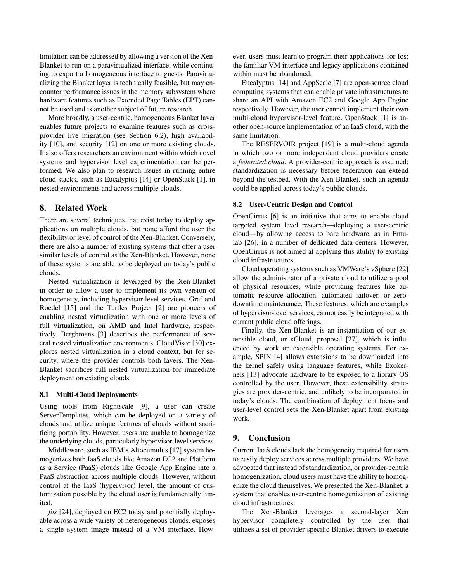limitation can be addressed by allowing a version of the Xen-Blanket to run on a paravirtualized interface, while continuing to export a homogeneous interface to guests. Paravirtualizing the Blanket layer is technically feasible, but may encounter performance issues in the memory subsystem where hardware features such as Extended Page Tables (EPT) cannot be used and is another subject of future research.

More broadly, a user-centric, homogeneous Blanket layer enables future projects to examine features such as crossprovider live migration (see Section 6.2), high availability [10], and security [12] on one or more existing clouds. It also offers researchers an environment within which novel systems and hypervisor level experimentation can be performed. We also plan to research issues in running entire cloud stacks, such as Eucalyptus [14] or OpenStack [1], in nested environments and across multiple clouds.

# **8. Related Work**

There are several techniques that exist today to deploy applications on multiple clouds, but none afford the user the flexibility or level of control of the Xen-Blanket. Conversely, there are also a number of existing systems that offer a user similar levels of control as the Xen-Blanket. However, none of these systems are able to be deployed on today's public clouds.

Nested virtualization is leveraged by the Xen-Blanket in order to allow a user to implement its own version of homogeneity, including hypervisor-level services. Graf and Roedel [15] and the Turtles Project [2] are pioneers of enabling nested virtualization with one or more levels of full virtualization, on AMD and Intel hardware, respectively. Berghmans [3] describes the performance of several nested virtualization environments. CloudVisor [30] explores nested virtualization in a cloud context, but for security, where the provider controls both layers. The Xen-Blanket sacrifices full nested virtualization for immediate deployment on existing clouds.

#### **8.1 Multi-Cloud Deployments**

Using tools from Rightscale [9], a user can create ServerTemplates, which can be deployed on a variety of clouds and utilize unique features of clouds without sacrificing portability. However, users are unable to homogenize the underlying clouds, particularly hypervisor-level services.

Middleware, such as IBM's Altocumulus [17] system homogenizes both IaaS clouds like Amazon EC2 and Platform as a Service (PaaS) clouds like Google App Engine into a PaaS abstraction across multiple clouds. However, without control at the IaaS (hypervisor) level, the amount of customization possible by the cloud user is fundamentally limited.

*fos* [24], deployed on EC2 today and potentially deployable across a wide variety of heterogeneous clouds, exposes a single system image instead of a VM interface. However, users must learn to program their applications for fos; the familiar VM interface and legacy applications contained within must be abandoned.

Eucalyptus [14] and AppScale [7] are open-source cloud computing systems that can enable private infrastructures to share an API with Amazon EC2 and Google App Engine respectively. However, the user cannot implement their own multi-cloud hypervisor-level feature. OpenStack [1] is another open-source implementation of an IaaS cloud, with the same limitation.

The RESERVOIR project [19] is a multi-cloud agenda in which two or more independent cloud providers create a *federated cloud*. A provider-centric approach is assumed; standardization is necessary before federation can extend beyond the testbed. With the Xen-Blanket, such an agenda could be applied across today's public clouds.

#### **8.2 User-Centric Design and Control**

OpenCirrus [6] is an initiative that aims to enable cloud targeted system level research—deploying a user-centric cloud—by allowing access to bare hardware, as in Emulab [26], in a number of dedicated data centers. However, OpenCirrus is not aimed at applying this ability to existing cloud infrastructures.

Cloud operating systems such as VMWare's vSphere [22] allow the administrator of a private cloud to utilize a pool of physical resources, while providing features like automatic resource allocation, automated failover, or zerodowntime maintenance. These features, which are examples of hypervisor-level services, cannot easily be integrated with current public cloud offerings.

Finally, the Xen-Blanket is an instantiation of our extensible cloud, or xCloud, proposal [27], which is influenced by work on extensible operating systems. For example, SPIN [4] allows extensions to be downloaded into the kernel safely using language features, while Exokernels [13] advocate hardware to be exposed to a library OS controlled by the user. However, these extensibility strategies are provider-centric, and unlikely to be incorporated in today's clouds. The combination of deployment focus and user-level control sets the Xen-Blanket apart from existing work.

## **9. Conclusion**

Current IaaS clouds lack the homogeneity required for users to easily deploy services across multiple providers. We have advocated that instead of standardization, or provider-centric homogenization, cloud users must have the ability to homogenize the cloud themselves. We presented the Xen-Blanket, a system that enables user-centric homogenization of existing cloud infrastructures.

The Xen-Blanket leverages a second-layer Xen hypervisor—completely controlled by the user—that utilizes a set of provider-specific Blanket drivers to execute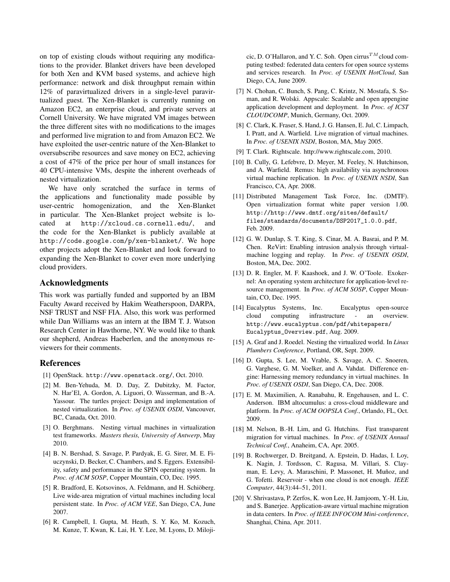on top of existing clouds without requiring any modifications to the provider. Blanket drivers have been developed for both Xen and KVM based systems, and achieve high performance: network and disk throughput remain within 12% of paravirtualized drivers in a single-level paravirtualized guest. The Xen-Blanket is currently running on Amazon EC2, an enterprise cloud, and private servers at Cornell University. We have migrated VM images between the three different sites with no modifications to the images and performed live migration to and from Amazon EC2. We have exploited the user-centric nature of the Xen-Blanket to oversubscribe resources and save money on EC2, achieving a cost of 47% of the price per hour of small instances for 40 CPU-intensive VMs, despite the inherent overheads of nested virtualization.

We have only scratched the surface in terms of the applications and functionality made possible by user-centric homogenization, and the Xen-Blanket in particular. The Xen-Blanket project website is located at http://xcloud.cs.cornell.edu/, and the code for the Xen-Blanket is publicly available at http://code.google.com/p/xen-blanket/. We hope other projects adopt the Xen-Blanket and look forward to expanding the Xen-Blanket to cover even more underlying cloud providers.

# **Acknowledgments**

This work was partially funded and supported by an IBM Faculty Award received by Hakim Weatherspoon, DARPA, NSF TRUST and NSF FIA. Also, this work was performed while Dan Williams was an intern at the IBM T. J. Watson Research Center in Hawthorne, NY. We would like to thank our shepherd, Andreas Haeberlen, and the anonymous reviewers for their comments.

### **References**

- [1] OpenStack. http://www.openstack.org/, Oct. 2010.
- [2] M. Ben-Yehuda, M. D. Day, Z. Dubitzky, M. Factor, N. Har'El, A. Gordon, A. Liguori, O. Wasserman, and B.-A. Yassour. The turtles project: Design and implementation of nested virtualization. In *Proc. of USENIX OSDI*, Vancouver, BC, Canada, Oct. 2010.
- [3] O. Berghmans. Nesting virtual machines in virtualization test frameworks. *Masters thesis, University of Antwerp*, May 2010.
- [4] B. N. Bershad, S. Savage, P. Pardyak, E. G. Sirer, M. E. Fiuczynski, D. Becker, C. Chambers, and S. Eggers. Extensibility, safety and performance in the SPIN operating system. In *Proc. of ACM SOSP*, Copper Mountain, CO, Dec. 1995.
- [5] R. Bradford, E. Kotsovinos, A. Feldmann, and H. Schiöberg. Live wide-area migration of virtual machines including local persistent state. In *Proc. of ACM VEE*, San Diego, CA, June 2007.
- [6] R. Campbell, I. Gupta, M. Heath, S. Y. Ko, M. Kozuch, M. Kunze, T. Kwan, K. Lai, H. Y. Lee, M. Lyons, D. Miloji-

cic, D. O'Hallaron, and Y. C. Soh. Open cirrus<sup>TM</sup> cloud computing testbed: federated data centers for open source systems and services research. In *Proc. of USENIX HotCloud*, San Diego, CA, June 2009.

- [7] N. Chohan, C. Bunch, S. Pang, C. Krintz, N. Mostafa, S. Soman, and R. Wolski. Appscale: Scalable and open appengine application development and deployment. In *Proc. of ICST CLOUDCOMP*, Munich, Germany, Oct. 2009.
- [8] C. Clark, K. Fraser, S. Hand, J. G. Hansen, E. Jul, C. Limpach, I. Pratt, and A. Warfield. Live migration of virtual machines. In *Proc. of USENIX NSDI*, Boston, MA, May 2005.
- [9] T. Clark. Rightscale. http://www.rightscale.com, 2010.
- [10] B. Cully, G. Lefebvre, D. Meyer, M. Feeley, N. Hutchinson, and A. Warfield. Remus: high availability via asynchronous virtual machine replication. In *Proc. of USENIX NSDI*, San Francisco, CA, Apr. 2008.
- [11] Distributed Management Task Force, Inc. (DMTF). Open virtualization format white paper version 1.00. http://http://www.dmtf.org/sites/default/ files/standards/documents/DSP2017\_1.0.0.pdf, Feb. 2009.
- [12] G. W. Dunlap, S. T. King, S. Cinar, M. A. Basrai, and P. M. Chen. ReVirt: Enabling intrusion analysis through virtualmachine logging and replay. In *Proc. of USENIX OSDI*, Boston, MA, Dec. 2002.
- [13] D. R. Engler, M. F. Kaashoek, and J. W. O'Toole. Exokernel: An operating system architecture for application-level resource management. In *Proc. of ACM SOSP*, Copper Mountain, CO, Dec. 1995.
- [14] Eucalyptus Systems, Inc. Eucalyptus open-source cloud computing infrastructure - an overview. http://www.eucalyptus.com/pdf/whitepapers/ Eucalyptus\_Overview.pdf, Aug. 2009.
- [15] A. Graf and J. Roedel. Nesting the virtualized world. In *Linux Plumbers Conference*, Portland, OR, Sept. 2009.
- [16] D. Gupta, S. Lee, M. Vrable, S. Savage, A. C. Snoeren, G. Varghese, G. M. Voelker, and A. Vahdat. Difference engine: Harnessing memory redundancy in virtual machines. In *Proc. of USENIX OSDI*, San Diego, CA, Dec. 2008.
- [17] E. M. Maximilien, A. Ranabahu, R. Engehausen, and L. C. Anderson. IBM altocumulus: a cross-cloud middleware and platform. In *Proc. of ACM OOPSLA Conf.*, Orlando, FL, Oct. 2009.
- [18] M. Nelson, B.-H. Lim, and G. Hutchins. Fast transparent migration for virtual machines. In *Proc. of USENIX Annual Technical Conf.*, Anaheim, CA, Apr. 2005.
- [19] B. Rochwerger, D. Breitgand, A. Epstein, D. Hadas, I. Loy, K. Nagin, J. Tordsson, C. Ragusa, M. Villari, S. Clayman, E. Levy, A. Maraschini, P. Massonet, H. Muñoz, and G. Tofetti. Reservoir - when one cloud is not enough. *IEEE Computer*, 44(3):44–51, 2011.
- [20] V. Shrivastava, P. Zerfos, K. won Lee, H. Jamjoom, Y.-H. Liu, and S. Banerjee. Application-aware virtual machine migration in data centers. In *Proc. of IEEE INFOCOM Mini-conference*, Shanghai, China, Apr. 2011.